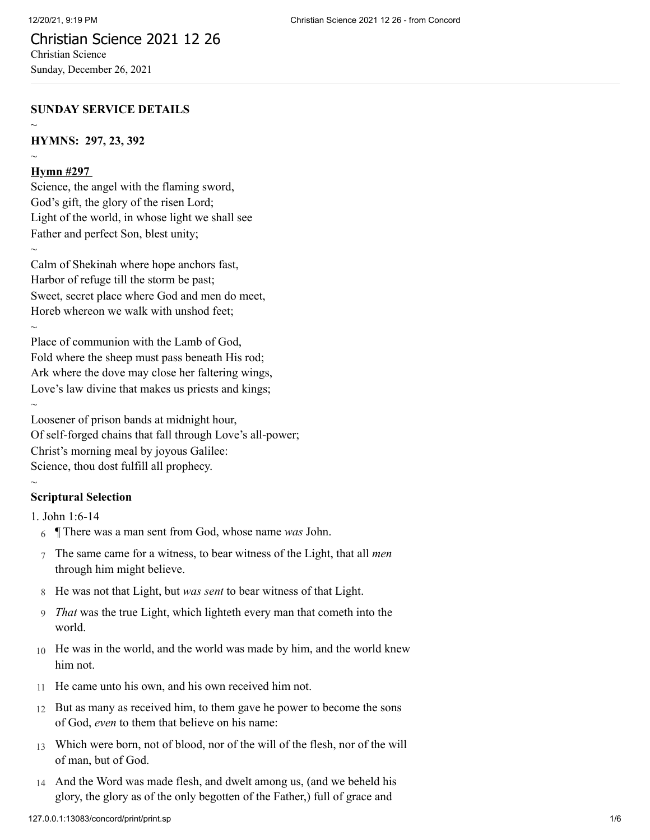## Christian Science 2021 12 26

Christian Science Sunday, December 26, 2021

#### **SUNDAY SERVICE DETAILS**

 $\sim$ 

 $\sim$ 

 $\sim$ 

 $\sim$ 

**HYMNS: 297, 23, 392**

#### **Hymn #297**

Science, the angel with the flaming sword, God's gift, the glory of the risen Lord; Light of the world, in whose light we shall see Father and perfect Son, blest unity;  $\sim$ 

Calm of Shekinah where hope anchors fast, Harbor of refuge till the storm be past; Sweet, secret place where God and men do meet, Horeb whereon we walk with unshod feet;

Place of communion with the Lamb of God, Fold where the sheep must pass beneath His rod; Ark where the dove may close her faltering wings, Love's law divine that makes us priests and kings;  $\sim$ 

Loosener of prison bands at midnight hour, Of self-forged chains that fall through Love's all-power; Christ's morning meal by joyous Galilee: Science, thou dost fulfill all prophecy.

#### **Scriptural Selection**

1. [John 1:6-14](http://www.concordworks.com/citation/John%201:6-14)

- 6 ¶ There was a man sent from God, whose name *was* John.
- 7 The same came for a witness, to bear witness of the Light, that all *men* through him might believe.
- 8 He was not that Light, but *was sent* to bear witness of that Light.
- 9 *That* was the true Light, which lighteth every man that cometh into the world.
- 10 He was in the world, and the world was made by him, and the world knew him not.
- 11 He came unto his own, and his own received him not.
- 12 But as many as received him, to them gave he power to become the sons of God, *even* to them that believe on his name:
- 13 Which were born, not of blood, nor of the will of the flesh, nor of the will of man, but of God.
- 14 And the Word was made flesh, and dwelt among us, (and we beheld his glory, the glory as of the only begotten of the Father,) full of grace and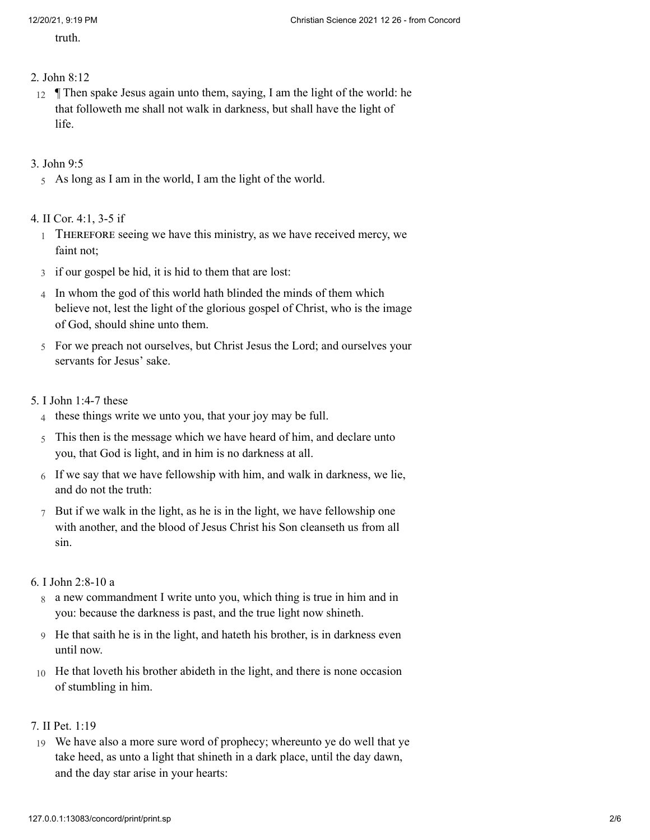truth.

#### 2. [John 8:12](http://www.concordworks.com/citation/John%208:12)

12 ¶ Then spake Jesus again unto them, saying, I am the light of the world: he that followeth me shall not walk in darkness, but shall have the light of life.

## 3. [John 9:5](http://www.concordworks.com/citation/John%209:5)

5 As long as I am in the world, I am the light of the world.

## 4. [II Cor. 4:1, 3-5 if](http://www.concordworks.com/citation/II%20Cor.%204:1,%203-5%20if)

- 1 THEREFORE seeing we have this ministry, as we have received mercy, we faint not;
- 3 if our gospel be hid, it is hid to them that are lost:
- 4 In whom the god of this world hath blinded the minds of them which believe not, lest the light of the glorious gospel of Christ, who is the image of God, should shine unto them.
- 5 For we preach not ourselves, but Christ Jesus the Lord; and ourselves your servants for Jesus' sake.

### 5. [I John 1:4-7 these](http://www.concordworks.com/citation/I%20John%201:4-7%20these)

- 4 these things write we unto you, that your joy may be full.
- 5 This then is the message which we have heard of him, and declare unto you, that God is light, and in him is no darkness at all.
- 6 If we say that we have fellowship with him, and walk in darkness, we lie, and do not the truth:
- 7 But if we walk in the light, as he is in the light, we have fellowship one with another, and the blood of Jesus Christ his Son cleanseth us from all sin.

#### 6. [I John 2:8-10 a](http://www.concordworks.com/citation/I%20John%202:8-10%20a)

- 8 a new commandment I write unto you, which thing is true in him and in you: because the darkness is past, and the true light now shineth.
- 9 He that saith he is in the light, and hateth his brother, is in darkness even until now.
- 10 He that loveth his brother abideth in the light, and there is none occasion of stumbling in him.

#### 7. [II Pet. 1:19](http://www.concordworks.com/citation/II%20Pet.%201:19)

19 We have also a more sure word of prophecy; whereunto ye do well that ye take heed, as unto a light that shineth in a dark place, until the day dawn, and the day star arise in your hearts: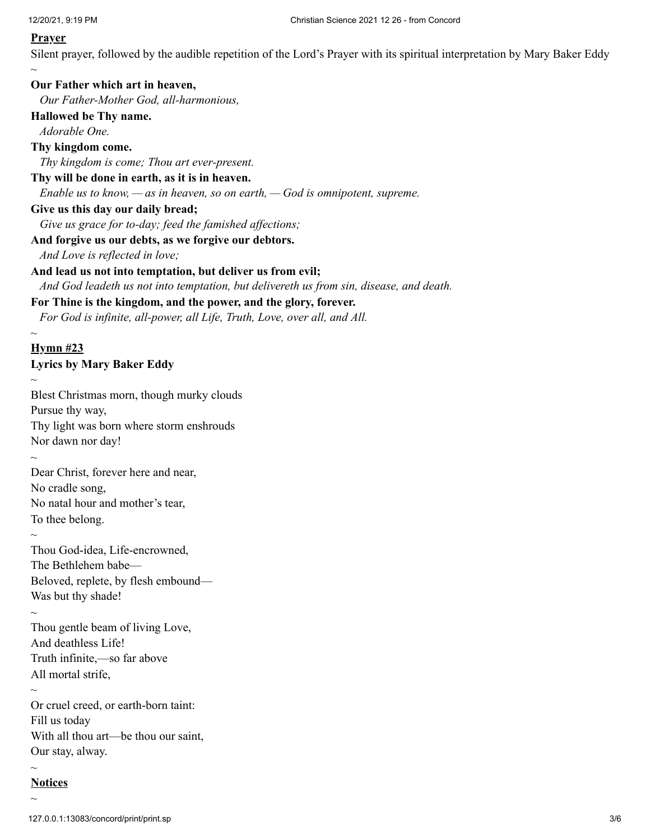#### **Prayer**

Silent prayer, followed by the audible repetition of the Lord's Prayer with its spiritual interpretation by Mary Baker Eddy  $\sim$ 

**Our Father which art in heaven,** *Our Father-Mother God, all-harmonious,* **Hallowed be Thy name.** *Adorable One.* **Thy kingdom come.** *Thy kingdom is come; Thou art ever-present.* **Thy will be done in earth, as it is in heaven.** *Enable us to know, — as in heaven, so on earth, — God is omnipotent, supreme.* **Give us this day our daily bread;** *Give us grace for to-day; feed the famished affections;* **And forgive us our debts, as we forgive our debtors.** *And Love is reflected in love;* **And lead us not into temptation, but deliver us from evil;** *And God leadeth us not into temptation, but delivereth us from sin, disease, and death.* **For Thine is the kingdom, and the power, and the glory, forever.** *For God is infinite, all-power, all Life, Truth, Love, over all, and All. ~* **Hymn #23 Lyrics by Mary Baker Eddy**  $\sim$ Blest Christmas morn, though murky clouds Pursue thy way, Thy light was born where storm enshrouds Nor dawn nor day!  $\sim$ Dear Christ, forever here and near, No cradle song, No natal hour and mother's tear, To thee belong.  $\sim$ Thou God-idea, Life-encrowned, The Bethlehem babe— Beloved, replete, by flesh embound— Was but thy shade!  $\sim$ Thou gentle beam of living Love, And deathless Life! Truth infinite,—so far above All mortal strife,  $\sim$ Or cruel creed, or earth-born taint: Fill us today With all thou art—be thou our saint, Our stay, alway.  $\sim$ **Notices**  $\sim$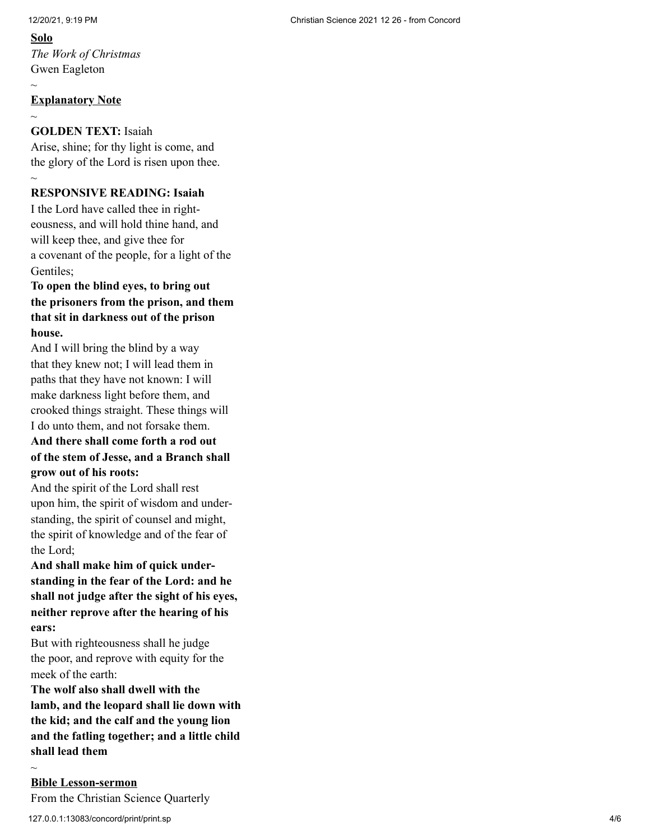#### **Solo**

*The Work of Christmas* Gwen Eagleton

## **Explanatory Note**

 $\sim$ 

 $\sim$ 

## **GOLDEN TEXT:** Isaiah

Arise, shine; for thy light is come, and the glory of the Lord is risen upon thee.  $\sim$ 

## **RESPONSIVE READING: Isaiah**

I the Lord have called thee in right‐ eousness, and will hold thine hand, and will keep thee, and give thee for a covenant of the people, for a light of the Gentiles;

## **To open the blind eyes, to bring out the prisoners from the prison, and them that sit in darkness out of the prison house.**

And I will bring the blind by a way that they knew not; I will lead them in paths that they have not known: I will make darkness light before them, and crooked things straight. These things will I do unto them, and not forsake them. **And there shall come forth a rod out**

# **of the stem of Jesse, and a Branch shall grow out of his roots:**

And the spirit of the Lord shall rest upon him, the spirit of wisdom and under‐ standing, the spirit of counsel and might, the spirit of knowledge and of the fear of the Lord;

## **And shall make him of quick under‐ standing in the fear of the Lord: and he shall not judge after the sight of his eyes, neither reprove after the hearing of his ears:**

But with righteousness shall he judge the poor, and reprove with equity for the meek of the earth:

**The wolf also shall dwell with the lamb, and the leopard shall lie down with the kid; and the calf and the young lion and the fatling together; and a little child shall lead them**

**Bible Lesson-sermon** From the Christian Science Quarterly

 $\sim$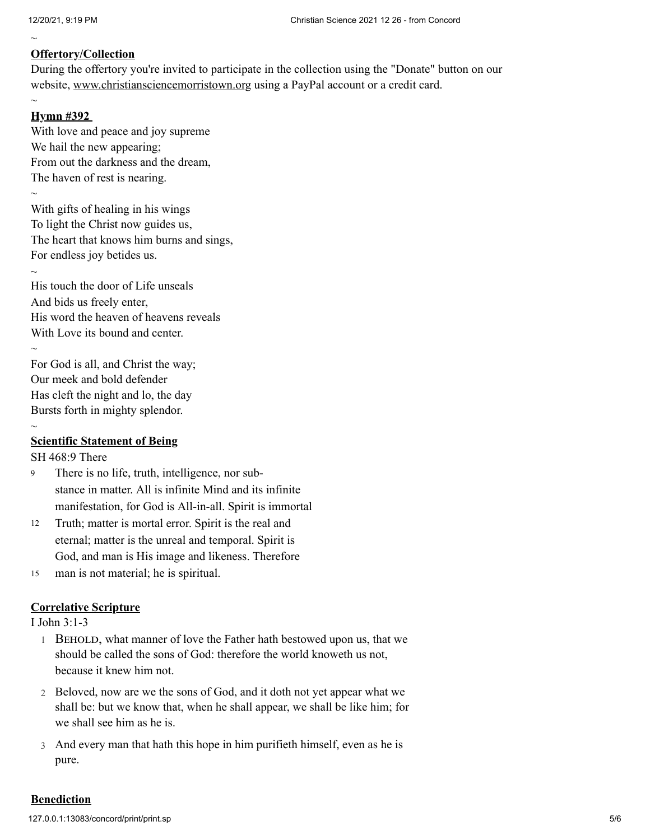$\sim$ 

 $\sim$ 

 $\sim$ 

 $\sim$ 

#### **Offertory/Collection**

During the offertory you're invited to participate in the collection using the "Donate" button on our website, www.christiansciencemorristown.org using a PayPal account or a credit card.

### **Hymn #392**

With love and peace and joy supreme We hail the new appearing; From out the darkness and the dream, The haven of rest is nearing.  $\sim$ 

With gifts of healing in his wings To light the Christ now guides us, The heart that knows him burns and sings, For endless joy betides us.

 $\sim$ His touch the door of Life unseals And bids us freely enter, His word the heaven of heavens reveals With Love its bound and center.

For God is all, and Christ the way; Our meek and bold defender Has cleft the night and lo, the day Bursts forth in mighty splendor.

**Scientific Statement of Being**

[SH 468:9 There](http://www.concordworks.com/citation/SH%20468:9%20There)

- There is no life, truth, intelligence, nor substance in matter. All is infinite Mind and its infinite manifestation, for God is All-in-all. Spirit is immortal 9
- Truth; matter is mortal error. Spirit is the real and eternal; matter is the unreal and temporal. Spirit is God, and man is His image and likeness. Therefore 12
- man is not material; he is spiritual. 15

## **Correlative Scripture**

[I John 3:1-3](http://www.concordworks.com/citation/I%20John%203:1-3)

- 1 BEHOLD, what manner of love the Father hath bestowed upon us, that we should be called the sons of God: therefore the world knoweth us not, because it knew him not.
- 2 Beloved, now are we the sons of God, and it doth not yet appear what we shall be: but we know that, when he shall appear, we shall be like him; for we shall see him as he is.
- 3 And every man that hath this hope in him purifieth himself, even as he is pure.

**Benediction**